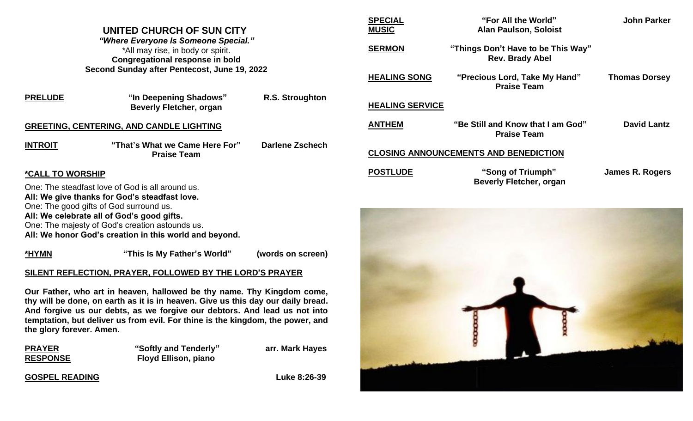# **UNITED CHURCH OF SUN CITY**

*"Where Everyone Is Someone Special." \**All may rise, in body or spirit. **Congregational response in bold Second Sunday after Pentecost, June 19, 2022**

| <b>PRELUDE</b> | "In Deepening Shadows"<br><b>Beverly Fletcher, organ</b> | R.S. Stroughton        |
|----------------|----------------------------------------------------------|------------------------|
|                | <b>GREETING, CENTERING, AND CANDLE LIGHTING</b>          |                        |
| <b>INTROIT</b> | "That's What we Came Here For"<br><b>Praise Team</b>     | <b>Darlene Zschech</b> |

## **\*CALL TO WORSHIP**

One: The steadfast love of God is all around us. **All: We give thanks for God's steadfast love.** One: The good gifts of God surround us. **All: We celebrate all of God's good gifts.** One: The majesty of God's creation astounds us. **All: We honor God's creation in this world and beyond.** 

**\*HYMN "This Is My Father's World" (words on screen)** 

# **SILENT REFLECTION, PRAYER, FOLLOWED BY THE LORD'S PRAYER**

**Our Father, who art in heaven, hallowed be thy name. Thy Kingdom come, thy will be done, on earth as it is in heaven. Give us this day our daily bread. And forgive us our debts, as we forgive our debtors. And lead us not into temptation, but deliver us from evil. For thine is the kingdom, the power, and the glory forever. Amen.**

| <b>PRAYER</b>   | "Softly and Tenderly"       | arr. Mark Hayes |  |
|-----------------|-----------------------------|-----------------|--|
| <b>RESPONSE</b> | <b>Floyd Ellison, piano</b> |                 |  |

## **GOSPEL READING** Luke 8:26-39

| <b>SPECIAL</b><br><b>MUSIC</b>               | "For All the World"<br><b>Alan Paulson, Soloist</b>          | John Parker          |  |
|----------------------------------------------|--------------------------------------------------------------|----------------------|--|
| <b>SERMON</b>                                | "Things Don't Have to be This Way"<br><b>Rev. Brady Abel</b> |                      |  |
| <b>HEALING SONG</b>                          | "Precious Lord, Take My Hand"<br><b>Praise Team</b>          | <b>Thomas Dorsey</b> |  |
| <b>HEALING SERVICE</b>                       |                                                              |                      |  |
| <b>ANTHEM</b>                                | "Be Still and Know that I am God"<br><b>Praise Team</b>      | <b>David Lantz</b>   |  |
| <b>CLOSING ANNOUNCEMENTS AND BENEDICTION</b> |                                                              |                      |  |
| <b>POSTLUDE</b>                              | "Song of Triumph"<br><b>Beverly Fletcher, organ</b>          | James R. Rogers      |  |
|                                              |                                                              |                      |  |

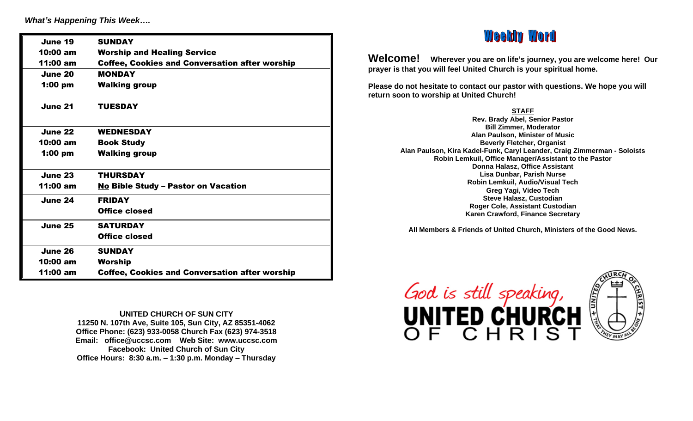*What's Happening This Week….*

| June 19        | <b>SUNDAY</b>                                         |
|----------------|-------------------------------------------------------|
| 10:00 am       | <b>Worship and Healing Service</b>                    |
| 11:00 am       | <b>Coffee, Cookies and Conversation after worship</b> |
| June 20        | <b>MONDAY</b>                                         |
| $1:00$ pm      | <b>Walking group</b>                                  |
| June 21        | <b>TUESDAY</b>                                        |
| June 22        | <b>WEDNESDAY</b>                                      |
| 10:00 am       | <b>Book Study</b>                                     |
| $1:00$ pm      | <b>Walking group</b>                                  |
| June 23        | <b>THURSDAY</b>                                       |
| 11:00 am       | <b>No Bible Study - Pastor on Vacation</b>            |
| June 24        | <b>FRIDAY</b>                                         |
|                | <b>Office closed</b>                                  |
| June 25        | <b>SATURDAY</b>                                       |
|                | <b>Office closed</b>                                  |
| <b>June 26</b> | <b>SUNDAY</b>                                         |
| 10:00 am       | <b>Worship</b>                                        |
| 11:00 am       | <b>Coffee, Cookies and Conversation after worship</b> |

**UNITED CHURCH OF SUN CITY 11250 N. 107th Ave, Suite 105, Sun City, AZ 85351-4062 Office Phone: (623) 933-0058 Church Fax (623) 974-3518 Email: office@uccsc.com Web Site: www.uccsc.com Facebook: United Church of Sun City Office Hours: 8:30 a.m. – 1:30 p.m. Monday – Thursday**

# **Weekly Word**

**Welcome! Wherever you are on life's journey, you are welcome here! Our prayer is that you will feel United Church is your spiritual home.**

**Please do not hesitate to contact our pastor with questions. We hope you will return soon to worship at United Church!**

**STAFF**

**Rev. Brady Abel, Senior Pastor Bill Zimmer, Moderator Alan Paulson, Minister of Music Beverly Fletcher, Organist Alan Paulson, Kira Kadel-Funk, Caryl Leander, Craig Zimmerman - Soloists Robin Lemkuil, Office Manager/Assistant to the Pastor Donna Halasz, Office Assistant Lisa Dunbar, Parish Nurse Robin Lemkuil, Audio/Visual Tech Greg Yagi, Video Tech Steve Halasz, Custodian Roger Cole, Assistant Custodian Karen Crawford, Finance Secretary**

**All Members & Friends of United Church, Ministers of the Good News.**